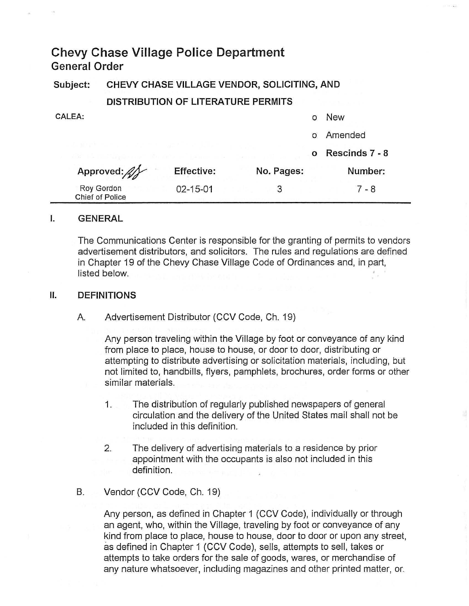# **Chevy Chase Village Police Department General Order**

**Subject: CHEVY CHASE VILLAGE VENDOR, SOLICITING, AND** 

## **DISTRIBUTION OF LITERATURE PERMITS**

| CALEA:                                                                                                                              |                   |            |          | <b>New</b>     |  |
|-------------------------------------------------------------------------------------------------------------------------------------|-------------------|------------|----------|----------------|--|
|                                                                                                                                     |                   |            |          | Amended        |  |
| the control of the control of the state of the state of the state of the state of<br>the the manufacturer of the African Indiana or |                   |            | $\Omega$ | Rescinds 7 - 8 |  |
| Approved:                                                                                                                           | <b>Effective:</b> | No. Pages: |          | Number:        |  |
| Roy Gordon<br><b>Chief of Police</b>                                                                                                | 02-15-01          | 3          |          | 7 - 8          |  |

### **I. GENERAL**

The Communications Center is responsible for the granting of permits to vendors advertisement distributors, and solicitors. The rules and regulations are defined in Chapter 19 of the Chevy Chase Village Code of Ordinances and, in part, listed below.

#### **II. DEFINITIONS**

A. Advertisement Distributor (CCV Code, Ch. 19)

Any person traveling within the Village by foot or conveyance of any kind from place to place, house to house, or door to door, distributing or attempting to distribute advertising or solicitation materials, including, but not limited to, handbills, flyers, pamphlets, brochures, order forms or other similar materials.

- 1. The distribution of regularly published newspapers of general circulation and the delivery of the United States mail shall not be included in this definition.
- 2. The delivery of advertising materials to a residence by prior appointment with the occupants is also not included in this definition.
- B. Vendor (CCV Code, Ch. 19)

Any person, as defined in Chapter 1 (CCV Code), individually or through an agent, who, within the Village, traveling by foot or conveyance of any kind from place to place, house to house, door to door or upon any street, as defined in Chapter 1 (CCV Code), sells, attempts to sell, takes or attempts to take orders for the sale of goods, wares, or merchandise of any nature whatsoever, including magazines and other printed matter, or.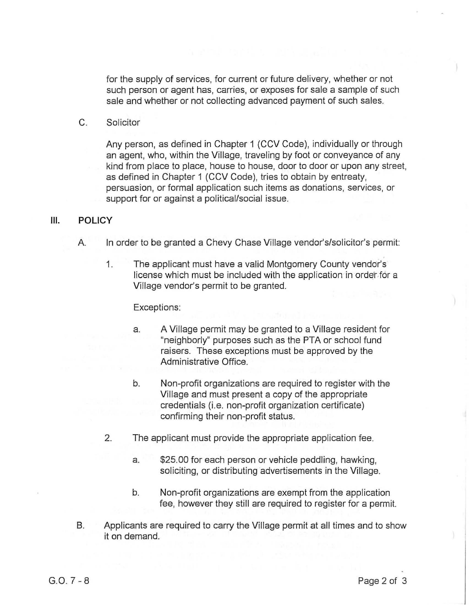for the supply of services, for current or future delivery, whether or not such person or agent has, carries, or exposes for sale a sample of such sale and whether or not collecting advanced payment of such sales.

C. Solicitor

Any person, as defined in Chapter 1 (CCV Code), individually or through an agent, who, within the Village, traveling by foot or conveyance of any kind from place to place, house to house, door to door or upon any street, as defined in Chapter 1 (CCV Code), tries to obtain by entreaty, persuasion, or formal application such items as donations, services, or support for or against a political/social issue.

#### **III. POLICY**

- A. In order to be granted a Chevy Chase Village vendor's/solicitor's permit:
	- 1. The applicant must have a valid Montgomery County vendor's license which must be included with the application in order for a Village vendor's permit to be granted.

#### Exceptions:

- a. A Village permit may be granted to a Village resident for "neighborly" purposes such as the PTA or school fund raisers. These exceptions must be approved by the Administrative Office.
- b. Non-profit organizations are required to register with the Village and must present a copy of the appropriate credentials (i.e. non-profit organization certificate) confirming their non-profit status.
- 2. The applicant must provide the appropriate application fee.
	- a. \$25.00 for each person or vehicle peddling, hawking, soliciting, or distributing advertisements in the Village.
	- b. Non-profit organizations are exempt from the application fee, however they still are required to register for a permit.
- B. Applicants are required to carry the Village permit at all times and to show it on demand.